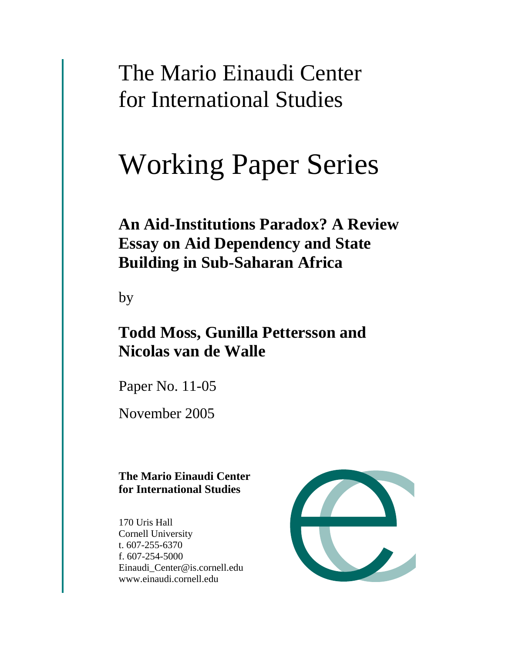The Mario Einaudi Center for International Studies

# Working Paper Series

**An Aid-Institutions Paradox? A Review Essay on Aid Dependency and State Building in Sub-Saharan Africa** 

by

# **Todd Moss, Gunilla Pettersson and Nicolas van de Walle**

Paper No. 11-05

November 2005

**The Mario Einaudi Center for International Studies** 

170 Uris Hall Cornell University t. 607-255-6370 f. 607-254-5000 Einaudi\_Center@is.cornell.edu www.einaudi.cornell.edu

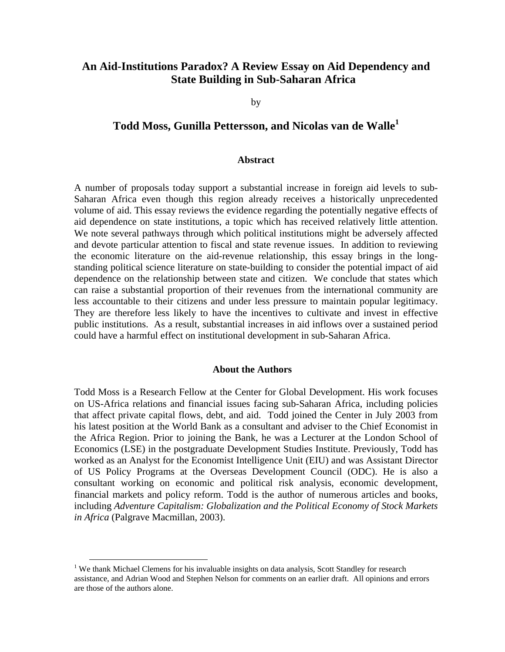# **An Aid-Institutions Paradox? A Review Essay on Aid Dependency and State Building in Sub-Saharan Africa**

by

# **Todd Moss, Gunilla Pettersson, and Nicolas van de Walle<sup>1</sup>**

#### **Abstract**

A number of proposals today support a substantial increase in foreign aid levels to sub-Saharan Africa even though this region already receives a historically unprecedented volume of aid. This essay reviews the evidence regarding the potentially negative effects of aid dependence on state institutions, a topic which has received relatively little attention. We note several pathways through which political institutions might be adversely affected and devote particular attention to fiscal and state revenue issues. In addition to reviewing the economic literature on the aid-revenue relationship, this essay brings in the longstanding political science literature on state-building to consider the potential impact of aid dependence on the relationship between state and citizen. We conclude that states which can raise a substantial proportion of their revenues from the international community are less accountable to their citizens and under less pressure to maintain popular legitimacy. They are therefore less likely to have the incentives to cultivate and invest in effective public institutions. As a result, substantial increases in aid inflows over a sustained period could have a harmful effect on institutional development in sub-Saharan Africa.

#### **About the Authors**

Todd Moss is a Research Fellow at the Center for Global Development. His work focuses on US-Africa relations and financial issues facing sub-Saharan Africa, including policies that affect private capital flows, debt, and aid. Todd joined the Center in July 2003 from his latest position at the World Bank as a consultant and adviser to the Chief Economist in the Africa Region. Prior to joining the Bank, he was a Lecturer at the London School of Economics (LSE) in the postgraduate Development Studies Institute. Previously, Todd has worked as an Analyst for the Economist Intelligence Unit (EIU) and was Assistant Director of US Policy Programs at the Overseas Development Council (ODC). He is also a consultant working on economic and political risk analysis, economic development, financial markets and policy reform. Todd is the author of numerous articles and books, including *Adventure Capitalism: Globalization and the Political Economy of Stock Markets in Africa* (Palgrave Macmillan, 2003).

<sup>&</sup>lt;sup>1</sup> We thank Michael Clemens for his invaluable insights on data analysis, Scott Standley for research assistance, and Adrian Wood and Stephen Nelson for comments on an earlier draft. All opinions and errors are those of the authors alone.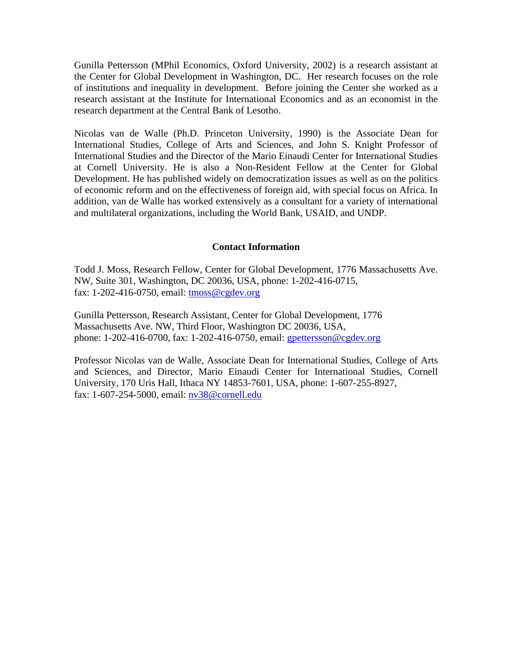Gunilla Pettersson (MPhil Economics, Oxford University, 2002) is a research assistant at the Center for Global Development in Washington, DC. Her research focuses on the role of institutions and inequality in development. Before joining the Center she worked as a research assistant at the Institute for International Economics and as an economist in the research department at the Central Bank of Lesotho.

Nicolas van de Walle (Ph.D. Princeton University, 1990) is the Associate Dean for International Studies, College of Arts and Sciences, and John S. Knight Professor of International Studies and the Director of the Mario Einaudi Center for International Studies at Cornell University. He is also a Non-Resident Fellow at the Center for Global Development. He has published widely on democratization issues as well as on the politics of economic reform and on the effectiveness of foreign aid, with special focus on Africa. In addition, van de Walle has worked extensively as a consultant for a variety of international and multilateral organizations, including the World Bank, USAID, and UNDP.

#### **Contact Information**

Todd J. Moss, Research Fellow, Center for Global Development, 1776 Massachusetts Ave. NW, Suite 301, Washington, DC 20036, USA, phone: 1-202-416-0715, fax: 1-202-416-0750, email: tmoss@cgdev.org

Gunilla Pettersson, Research Assistant, Center for Global Development, 1776 Massachusetts Ave. NW, Third Floor, Washington DC 20036, USA, phone: 1-202-416-0700, fax: 1-202-416-0750, email: gpettersson@cgdev.org

Professor Nicolas van de Walle, Associate Dean for International Studies, College of Arts and Sciences, and Director, Mario Einaudi Center for International Studies, Cornell University, 170 Uris Hall, Ithaca NY 14853-7601, USA, phone: 1-607-255-8927, fax: 1-607-254-5000, email: nv38@cornell.edu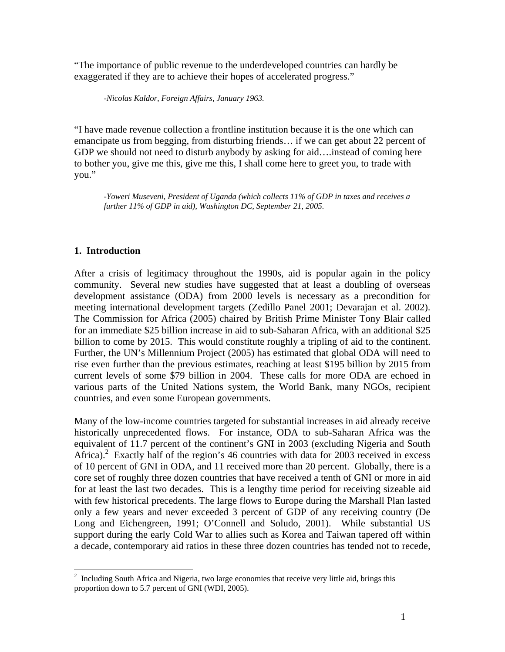"The importance of public revenue to the underdeveloped countries can hardly be exaggerated if they are to achieve their hopes of accelerated progress."

*-Nicolas Kaldor, Foreign Affairs, January 1963.* 

"I have made revenue collection a frontline institution because it is the one which can emancipate us from begging, from disturbing friends… if we can get about 22 percent of GDP we should not need to disturb anybody by asking for aid….instead of coming here to bother you, give me this, give me this, I shall come here to greet you, to trade with you."

*-Yoweri Museveni, President of Uganda (which collects 11% of GDP in taxes and receives a further 11% of GDP in aid), Washington DC, September 21, 2005.* 

### **1. Introduction**

 $\overline{a}$ 

After a crisis of legitimacy throughout the 1990s, aid is popular again in the policy community. Several new studies have suggested that at least a doubling of overseas development assistance (ODA) from 2000 levels is necessary as a precondition for meeting international development targets (Zedillo Panel 2001; Devarajan et al. 2002). The Commission for Africa (2005) chaired by British Prime Minister Tony Blair called for an immediate \$25 billion increase in aid to sub-Saharan Africa, with an additional \$25 billion to come by 2015. This would constitute roughly a tripling of aid to the continent. Further, the UN's Millennium Project (2005) has estimated that global ODA will need to rise even further than the previous estimates, reaching at least \$195 billion by 2015 from current levels of some \$79 billion in 2004. These calls for more ODA are echoed in various parts of the United Nations system, the World Bank, many NGOs, recipient countries, and even some European governments.

Many of the low-income countries targeted for substantial increases in aid already receive historically unprecedented flows. For instance, ODA to sub-Saharan Africa was the equivalent of 11.7 percent of the continent's GNI in 2003 (excluding Nigeria and South Africa).<sup>2</sup> Exactly half of the region's 46 countries with data for 2003 received in excess of 10 percent of GNI in ODA, and 11 received more than 20 percent. Globally, there is a core set of roughly three dozen countries that have received a tenth of GNI or more in aid for at least the last two decades. This is a lengthy time period for receiving sizeable aid with few historical precedents. The large flows to Europe during the Marshall Plan lasted only a few years and never exceeded 3 percent of GDP of any receiving country (De Long and Eichengreen, 1991; O'Connell and Soludo, 2001). While substantial US support during the early Cold War to allies such as Korea and Taiwan tapered off within a decade, contemporary aid ratios in these three dozen countries has tended not to recede,

 $2$  Including South Africa and Nigeria, two large economies that receive very little aid, brings this proportion down to 5.7 percent of GNI (WDI, 2005).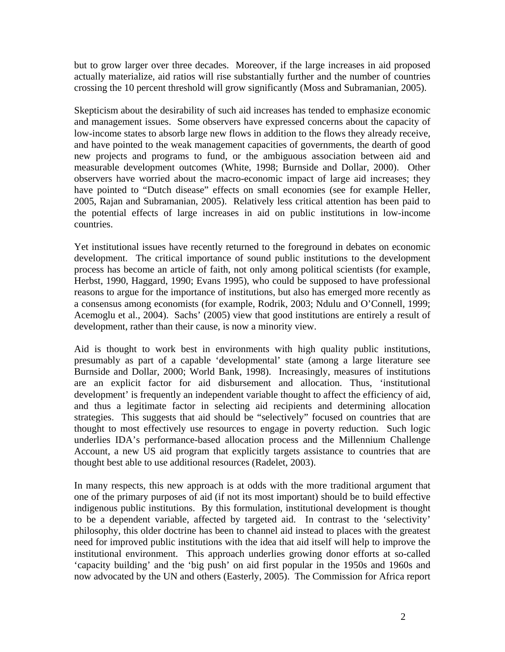but to grow larger over three decades. Moreover, if the large increases in aid proposed actually materialize, aid ratios will rise substantially further and the number of countries crossing the 10 percent threshold will grow significantly (Moss and Subramanian, 2005).

Skepticism about the desirability of such aid increases has tended to emphasize economic and management issues. Some observers have expressed concerns about the capacity of low-income states to absorb large new flows in addition to the flows they already receive, and have pointed to the weak management capacities of governments, the dearth of good new projects and programs to fund, or the ambiguous association between aid and measurable development outcomes (White, 1998; Burnside and Dollar, 2000). Other observers have worried about the macro-economic impact of large aid increases; they have pointed to "Dutch disease" effects on small economies (see for example Heller, 2005, Rajan and Subramanian, 2005). Relatively less critical attention has been paid to the potential effects of large increases in aid on public institutions in low-income countries.

Yet institutional issues have recently returned to the foreground in debates on economic development. The critical importance of sound public institutions to the development process has become an article of faith, not only among political scientists (for example, Herbst, 1990, Haggard, 1990; Evans 1995), who could be supposed to have professional reasons to argue for the importance of institutions, but also has emerged more recently as a consensus among economists (for example, Rodrik, 2003; Ndulu and O'Connell, 1999; Acemoglu et al., 2004). Sachs' (2005) view that good institutions are entirely a result of development, rather than their cause, is now a minority view.

Aid is thought to work best in environments with high quality public institutions, presumably as part of a capable 'developmental' state (among a large literature see Burnside and Dollar, 2000; World Bank, 1998). Increasingly, measures of institutions are an explicit factor for aid disbursement and allocation. Thus, 'institutional development' is frequently an independent variable thought to affect the efficiency of aid, and thus a legitimate factor in selecting aid recipients and determining allocation strategies. This suggests that aid should be "selectively" focused on countries that are thought to most effectively use resources to engage in poverty reduction. Such logic underlies IDA's performance-based allocation process and the Millennium Challenge Account, a new US aid program that explicitly targets assistance to countries that are thought best able to use additional resources (Radelet, 2003).

In many respects, this new approach is at odds with the more traditional argument that one of the primary purposes of aid (if not its most important) should be to build effective indigenous public institutions. By this formulation, institutional development is thought to be a dependent variable, affected by targeted aid. In contrast to the 'selectivity' philosophy, this older doctrine has been to channel aid instead to places with the greatest need for improved public institutions with the idea that aid itself will help to improve the institutional environment. This approach underlies growing donor efforts at so-called 'capacity building' and the 'big push' on aid first popular in the 1950s and 1960s and now advocated by the UN and others (Easterly, 2005). The Commission for Africa report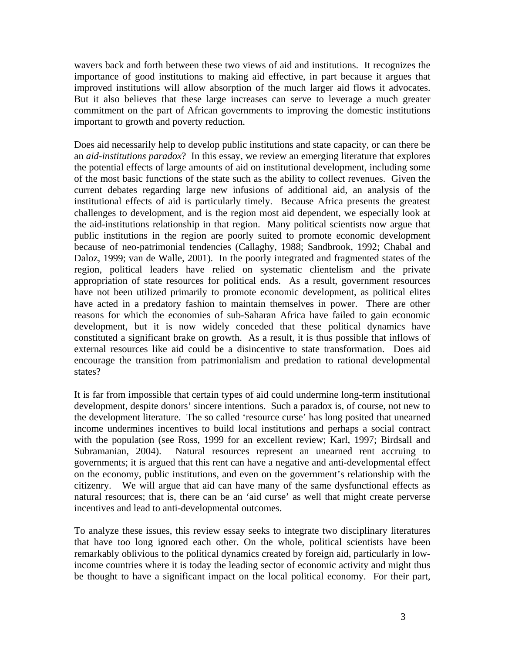wavers back and forth between these two views of aid and institutions. It recognizes the importance of good institutions to making aid effective, in part because it argues that improved institutions will allow absorption of the much larger aid flows it advocates. But it also believes that these large increases can serve to leverage a much greater commitment on the part of African governments to improving the domestic institutions important to growth and poverty reduction.

Does aid necessarily help to develop public institutions and state capacity, or can there be an *aid-institutions paradox*? In this essay, we review an emerging literature that explores the potential effects of large amounts of aid on institutional development, including some of the most basic functions of the state such as the ability to collect revenues. Given the current debates regarding large new infusions of additional aid, an analysis of the institutional effects of aid is particularly timely. Because Africa presents the greatest challenges to development, and is the region most aid dependent, we especially look at the aid-institutions relationship in that region. Many political scientists now argue that public institutions in the region are poorly suited to promote economic development because of neo-patrimonial tendencies (Callaghy, 1988; Sandbrook, 1992; Chabal and Daloz, 1999; van de Walle, 2001). In the poorly integrated and fragmented states of the region, political leaders have relied on systematic clientelism and the private appropriation of state resources for political ends. As a result, government resources have not been utilized primarily to promote economic development, as political elites have acted in a predatory fashion to maintain themselves in power. There are other reasons for which the economies of sub-Saharan Africa have failed to gain economic development, but it is now widely conceded that these political dynamics have constituted a significant brake on growth. As a result, it is thus possible that inflows of external resources like aid could be a disincentive to state transformation. Does aid encourage the transition from patrimonialism and predation to rational developmental states?

It is far from impossible that certain types of aid could undermine long-term institutional development, despite donors' sincere intentions. Such a paradox is, of course, not new to the development literature. The so called 'resource curse' has long posited that unearned income undermines incentives to build local institutions and perhaps a social contract with the population (see Ross, 1999 for an excellent review; Karl, 1997; Birdsall and Subramanian, 2004). Natural resources represent an unearned rent accruing to governments; it is argued that this rent can have a negative and anti-developmental effect on the economy, public institutions, and even on the government's relationship with the citizenry. We will argue that aid can have many of the same dysfunctional effects as natural resources; that is, there can be an 'aid curse' as well that might create perverse incentives and lead to anti-developmental outcomes.

To analyze these issues, this review essay seeks to integrate two disciplinary literatures that have too long ignored each other. On the whole, political scientists have been remarkably oblivious to the political dynamics created by foreign aid, particularly in lowincome countries where it is today the leading sector of economic activity and might thus be thought to have a significant impact on the local political economy. For their part,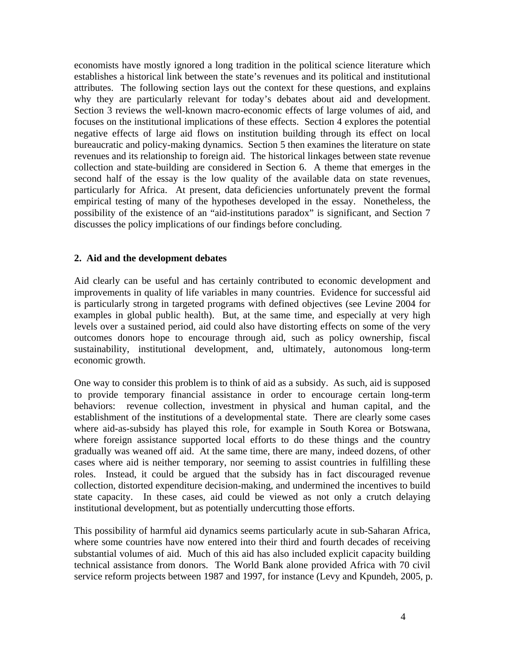economists have mostly ignored a long tradition in the political science literature which establishes a historical link between the state's revenues and its political and institutional attributes. The following section lays out the context for these questions, and explains why they are particularly relevant for today's debates about aid and development. Section 3 reviews the well-known macro-economic effects of large volumes of aid, and focuses on the institutional implications of these effects. Section 4 explores the potential negative effects of large aid flows on institution building through its effect on local bureaucratic and policy-making dynamics. Section 5 then examines the literature on state revenues and its relationship to foreign aid. The historical linkages between state revenue collection and state-building are considered in Section 6. A theme that emerges in the second half of the essay is the low quality of the available data on state revenues, particularly for Africa. At present, data deficiencies unfortunately prevent the formal empirical testing of many of the hypotheses developed in the essay. Nonetheless, the possibility of the existence of an "aid-institutions paradox" is significant, and Section 7 discusses the policy implications of our findings before concluding.

#### **2. Aid and the development debates**

Aid clearly can be useful and has certainly contributed to economic development and improvements in quality of life variables in many countries. Evidence for successful aid is particularly strong in targeted programs with defined objectives (see Levine 2004 for examples in global public health). But, at the same time, and especially at very high levels over a sustained period, aid could also have distorting effects on some of the very outcomes donors hope to encourage through aid, such as policy ownership, fiscal sustainability, institutional development, and, ultimately, autonomous long-term economic growth.

One way to consider this problem is to think of aid as a subsidy. As such, aid is supposed to provide temporary financial assistance in order to encourage certain long-term behaviors: revenue collection, investment in physical and human capital, and the establishment of the institutions of a developmental state. There are clearly some cases where aid-as-subsidy has played this role, for example in South Korea or Botswana, where foreign assistance supported local efforts to do these things and the country gradually was weaned off aid. At the same time, there are many, indeed dozens, of other cases where aid is neither temporary, nor seeming to assist countries in fulfilling these roles. Instead, it could be argued that the subsidy has in fact discouraged revenue collection, distorted expenditure decision-making, and undermined the incentives to build state capacity. In these cases, aid could be viewed as not only a crutch delaying institutional development, but as potentially undercutting those efforts.

This possibility of harmful aid dynamics seems particularly acute in sub-Saharan Africa, where some countries have now entered into their third and fourth decades of receiving substantial volumes of aid. Much of this aid has also included explicit capacity building technical assistance from donors. The World Bank alone provided Africa with 70 civil service reform projects between 1987 and 1997, for instance (Levy and Kpundeh, 2005, p.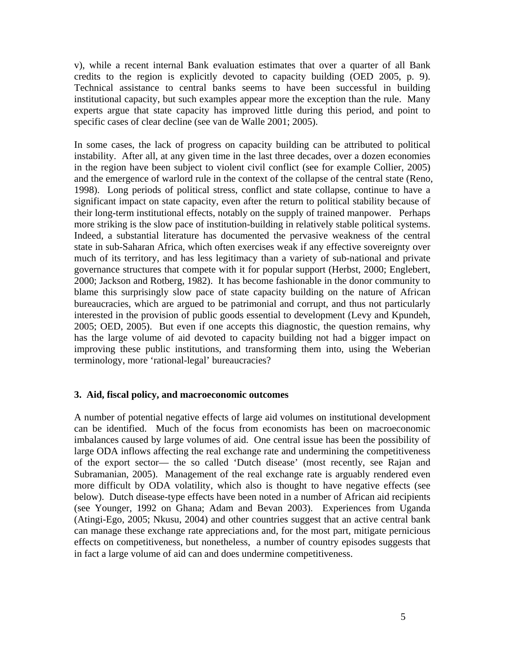v), while a recent internal Bank evaluation estimates that over a quarter of all Bank credits to the region is explicitly devoted to capacity building (OED 2005, p. 9). Technical assistance to central banks seems to have been successful in building institutional capacity, but such examples appear more the exception than the rule. Many experts argue that state capacity has improved little during this period, and point to specific cases of clear decline (see van de Walle 2001; 2005).

In some cases, the lack of progress on capacity building can be attributed to political instability. After all, at any given time in the last three decades, over a dozen economies in the region have been subject to violent civil conflict (see for example Collier, 2005) and the emergence of warlord rule in the context of the collapse of the central state (Reno, 1998). Long periods of political stress, conflict and state collapse, continue to have a significant impact on state capacity, even after the return to political stability because of their long-term institutional effects, notably on the supply of trained manpower. Perhaps more striking is the slow pace of institution-building in relatively stable political systems. Indeed, a substantial literature has documented the pervasive weakness of the central state in sub-Saharan Africa, which often exercises weak if any effective sovereignty over much of its territory, and has less legitimacy than a variety of sub-national and private governance structures that compete with it for popular support (Herbst, 2000; Englebert, 2000; Jackson and Rotberg, 1982). It has become fashionable in the donor community to blame this surprisingly slow pace of state capacity building on the nature of African bureaucracies, which are argued to be patrimonial and corrupt, and thus not particularly interested in the provision of public goods essential to development (Levy and Kpundeh, 2005; OED, 2005). But even if one accepts this diagnostic, the question remains, why has the large volume of aid devoted to capacity building not had a bigger impact on improving these public institutions, and transforming them into, using the Weberian terminology, more 'rational-legal' bureaucracies?

#### **3. Aid, fiscal policy, and macroeconomic outcomes**

A number of potential negative effects of large aid volumes on institutional development can be identified. Much of the focus from economists has been on macroeconomic imbalances caused by large volumes of aid. One central issue has been the possibility of large ODA inflows affecting the real exchange rate and undermining the competitiveness of the export sector— the so called 'Dutch disease' (most recently, see Rajan and Subramanian, 2005). Management of the real exchange rate is arguably rendered even more difficult by ODA volatility, which also is thought to have negative effects (see below). Dutch disease-type effects have been noted in a number of African aid recipients (see Younger, 1992 on Ghana; Adam and Bevan 2003). Experiences from Uganda (Atingi-Ego, 2005; Nkusu, 2004) and other countries suggest that an active central bank can manage these exchange rate appreciations and, for the most part, mitigate pernicious effects on competitiveness, but nonetheless, a number of country episodes suggests that in fact a large volume of aid can and does undermine competitiveness.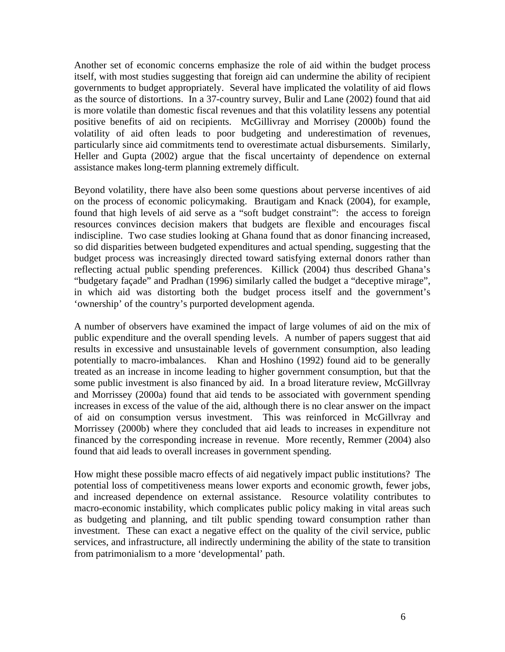Another set of economic concerns emphasize the role of aid within the budget process itself, with most studies suggesting that foreign aid can undermine the ability of recipient governments to budget appropriately. Several have implicated the volatility of aid flows as the source of distortions. In a 37-country survey, Bulir and Lane (2002) found that aid is more volatile than domestic fiscal revenues and that this volatility lessens any potential positive benefits of aid on recipients. McGillivray and Morrisey (2000b) found the volatility of aid often leads to poor budgeting and underestimation of revenues, particularly since aid commitments tend to overestimate actual disbursements. Similarly, Heller and Gupta (2002) argue that the fiscal uncertainty of dependence on external assistance makes long-term planning extremely difficult.

Beyond volatility, there have also been some questions about perverse incentives of aid on the process of economic policymaking. Brautigam and Knack (2004), for example, found that high levels of aid serve as a "soft budget constraint": the access to foreign resources convinces decision makers that budgets are flexible and encourages fiscal indiscipline. Two case studies looking at Ghana found that as donor financing increased, so did disparities between budgeted expenditures and actual spending, suggesting that the budget process was increasingly directed toward satisfying external donors rather than reflecting actual public spending preferences. Killick (2004) thus described Ghana's "budgetary façade" and Pradhan (1996) similarly called the budget a "deceptive mirage", in which aid was distorting both the budget process itself and the government's 'ownership' of the country's purported development agenda.

A number of observers have examined the impact of large volumes of aid on the mix of public expenditure and the overall spending levels. A number of papers suggest that aid results in excessive and unsustainable levels of government consumption, also leading potentially to macro-imbalances. Khan and Hoshino (1992) found aid to be generally treated as an increase in income leading to higher government consumption, but that the some public investment is also financed by aid. In a broad literature review, McGillvray and Morrissey (2000a) found that aid tends to be associated with government spending increases in excess of the value of the aid, although there is no clear answer on the impact of aid on consumption versus investment. This was reinforced in McGillvray and Morrissey (2000b) where they concluded that aid leads to increases in expenditure not financed by the corresponding increase in revenue. More recently, Remmer (2004) also found that aid leads to overall increases in government spending.

How might these possible macro effects of aid negatively impact public institutions? The potential loss of competitiveness means lower exports and economic growth, fewer jobs, and increased dependence on external assistance. Resource volatility contributes to macro-economic instability, which complicates public policy making in vital areas such as budgeting and planning, and tilt public spending toward consumption rather than investment. These can exact a negative effect on the quality of the civil service, public services, and infrastructure, all indirectly undermining the ability of the state to transition from patrimonialism to a more 'developmental' path.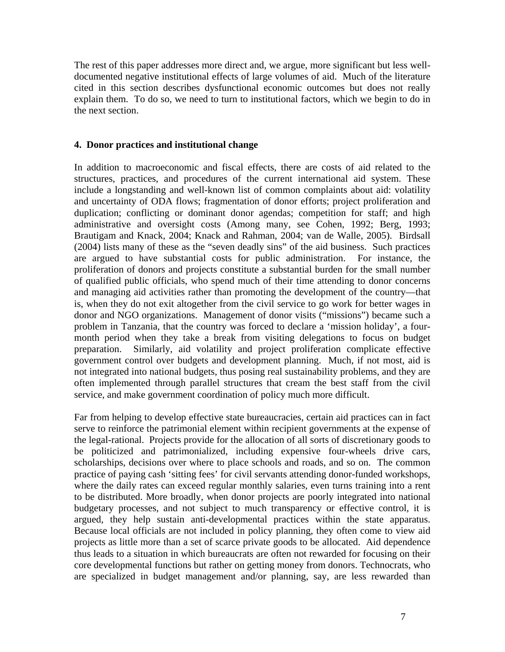The rest of this paper addresses more direct and, we argue, more significant but less welldocumented negative institutional effects of large volumes of aid. Much of the literature cited in this section describes dysfunctional economic outcomes but does not really explain them. To do so, we need to turn to institutional factors, which we begin to do in the next section.

#### **4. Donor practices and institutional change**

In addition to macroeconomic and fiscal effects, there are costs of aid related to the structures, practices, and procedures of the current international aid system. These include a longstanding and well-known list of common complaints about aid: volatility and uncertainty of ODA flows; fragmentation of donor efforts; project proliferation and duplication; conflicting or dominant donor agendas; competition for staff; and high administrative and oversight costs (Among many, see Cohen, 1992; Berg, 1993; Brautigam and Knack, 2004; Knack and Rahman, 2004; van de Walle, 2005). Birdsall (2004) lists many of these as the "seven deadly sins" of the aid business. Such practices are argued to have substantial costs for public administration. For instance, the proliferation of donors and projects constitute a substantial burden for the small number of qualified public officials, who spend much of their time attending to donor concerns and managing aid activities rather than promoting the development of the country—that is, when they do not exit altogether from the civil service to go work for better wages in donor and NGO organizations. Management of donor visits ("missions") became such a problem in Tanzania, that the country was forced to declare a 'mission holiday', a fourmonth period when they take a break from visiting delegations to focus on budget preparation. Similarly, aid volatility and project proliferation complicate effective government control over budgets and development planning. Much, if not most, aid is not integrated into national budgets, thus posing real sustainability problems, and they are often implemented through parallel structures that cream the best staff from the civil service, and make government coordination of policy much more difficult.

Far from helping to develop effective state bureaucracies, certain aid practices can in fact serve to reinforce the patrimonial element within recipient governments at the expense of the legal-rational. Projects provide for the allocation of all sorts of discretionary goods to be politicized and patrimonialized, including expensive four-wheels drive cars, scholarships, decisions over where to place schools and roads, and so on. The common practice of paying cash 'sitting fees' for civil servants attending donor-funded workshops, where the daily rates can exceed regular monthly salaries, even turns training into a rent to be distributed. More broadly, when donor projects are poorly integrated into national budgetary processes, and not subject to much transparency or effective control, it is argued, they help sustain anti-developmental practices within the state apparatus. Because local officials are not included in policy planning, they often come to view aid projects as little more than a set of scarce private goods to be allocated. Aid dependence thus leads to a situation in which bureaucrats are often not rewarded for focusing on their core developmental functions but rather on getting money from donors. Technocrats, who are specialized in budget management and/or planning, say, are less rewarded than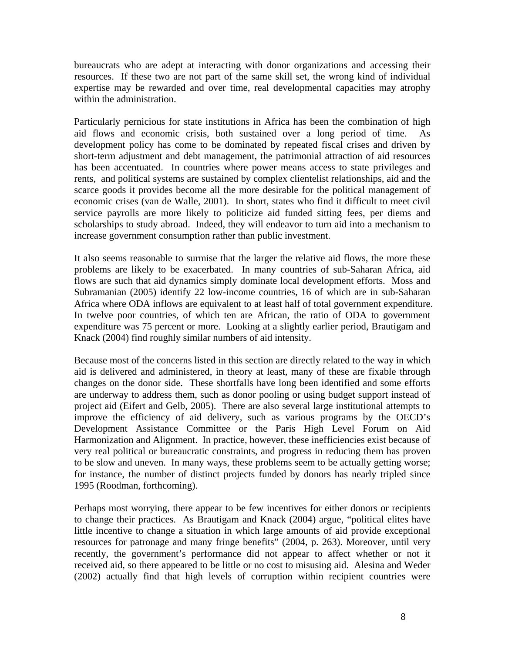bureaucrats who are adept at interacting with donor organizations and accessing their resources. If these two are not part of the same skill set, the wrong kind of individual expertise may be rewarded and over time, real developmental capacities may atrophy within the administration.

Particularly pernicious for state institutions in Africa has been the combination of high aid flows and economic crisis, both sustained over a long period of time. As development policy has come to be dominated by repeated fiscal crises and driven by short-term adjustment and debt management, the patrimonial attraction of aid resources has been accentuated. In countries where power means access to state privileges and rents, and political systems are sustained by complex clientelist relationships, aid and the scarce goods it provides become all the more desirable for the political management of economic crises (van de Walle, 2001). In short, states who find it difficult to meet civil service payrolls are more likely to politicize aid funded sitting fees, per diems and scholarships to study abroad. Indeed, they will endeavor to turn aid into a mechanism to increase government consumption rather than public investment.

It also seems reasonable to surmise that the larger the relative aid flows, the more these problems are likely to be exacerbated. In many countries of sub-Saharan Africa, aid flows are such that aid dynamics simply dominate local development efforts. Moss and Subramanian (2005) identify 22 low-income countries, 16 of which are in sub-Saharan Africa where ODA inflows are equivalent to at least half of total government expenditure. In twelve poor countries, of which ten are African, the ratio of ODA to government expenditure was 75 percent or more. Looking at a slightly earlier period, Brautigam and Knack (2004) find roughly similar numbers of aid intensity.

Because most of the concerns listed in this section are directly related to the way in which aid is delivered and administered, in theory at least, many of these are fixable through changes on the donor side. These shortfalls have long been identified and some efforts are underway to address them, such as donor pooling or using budget support instead of project aid (Eifert and Gelb, 2005). There are also several large institutional attempts to improve the efficiency of aid delivery, such as various programs by the OECD's Development Assistance Committee or the Paris High Level Forum on Aid Harmonization and Alignment. In practice, however, these inefficiencies exist because of very real political or bureaucratic constraints, and progress in reducing them has proven to be slow and uneven. In many ways, these problems seem to be actually getting worse; for instance, the number of distinct projects funded by donors has nearly tripled since 1995 (Roodman, forthcoming).

Perhaps most worrying, there appear to be few incentives for either donors or recipients to change their practices. As Brautigam and Knack (2004) argue, "political elites have little incentive to change a situation in which large amounts of aid provide exceptional resources for patronage and many fringe benefits" (2004, p. 263). Moreover, until very recently, the government's performance did not appear to affect whether or not it received aid, so there appeared to be little or no cost to misusing aid. Alesina and Weder (2002) actually find that high levels of corruption within recipient countries were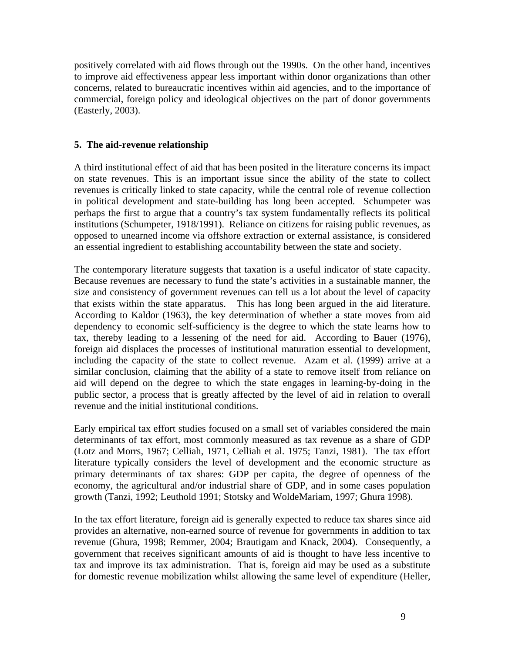positively correlated with aid flows through out the 1990s. On the other hand, incentives to improve aid effectiveness appear less important within donor organizations than other concerns, related to bureaucratic incentives within aid agencies, and to the importance of commercial, foreign policy and ideological objectives on the part of donor governments (Easterly, 2003).

### **5. The aid-revenue relationship**

A third institutional effect of aid that has been posited in the literature concerns its impact on state revenues. This is an important issue since the ability of the state to collect revenues is critically linked to state capacity, while the central role of revenue collection in political development and state-building has long been accepted. Schumpeter was perhaps the first to argue that a country's tax system fundamentally reflects its political institutions (Schumpeter, 1918/1991). Reliance on citizens for raising public revenues, as opposed to unearned income via offshore extraction or external assistance, is considered an essential ingredient to establishing accountability between the state and society.

The contemporary literature suggests that taxation is a useful indicator of state capacity. Because revenues are necessary to fund the state's activities in a sustainable manner, the size and consistency of government revenues can tell us a lot about the level of capacity that exists within the state apparatus. This has long been argued in the aid literature. According to Kaldor (1963), the key determination of whether a state moves from aid dependency to economic self-sufficiency is the degree to which the state learns how to tax, thereby leading to a lessening of the need for aid. According to Bauer (1976), foreign aid displaces the processes of institutional maturation essential to development, including the capacity of the state to collect revenue. Azam et al. (1999) arrive at a similar conclusion, claiming that the ability of a state to remove itself from reliance on aid will depend on the degree to which the state engages in learning-by-doing in the public sector, a process that is greatly affected by the level of aid in relation to overall revenue and the initial institutional conditions.

Early empirical tax effort studies focused on a small set of variables considered the main determinants of tax effort, most commonly measured as tax revenue as a share of GDP (Lotz and Morrs, 1967; Celliah, 1971, Celliah et al. 1975; Tanzi, 1981). The tax effort literature typically considers the level of development and the economic structure as primary determinants of tax shares: GDP per capita, the degree of openness of the economy, the agricultural and/or industrial share of GDP, and in some cases population growth (Tanzi, 1992; Leuthold 1991; Stotsky and WoldeMariam, 1997; Ghura 1998).

In the tax effort literature, foreign aid is generally expected to reduce tax shares since aid provides an alternative, non-earned source of revenue for governments in addition to tax revenue (Ghura, 1998; Remmer, 2004; Brautigam and Knack, 2004). Consequently, a government that receives significant amounts of aid is thought to have less incentive to tax and improve its tax administration. That is, foreign aid may be used as a substitute for domestic revenue mobilization whilst allowing the same level of expenditure (Heller,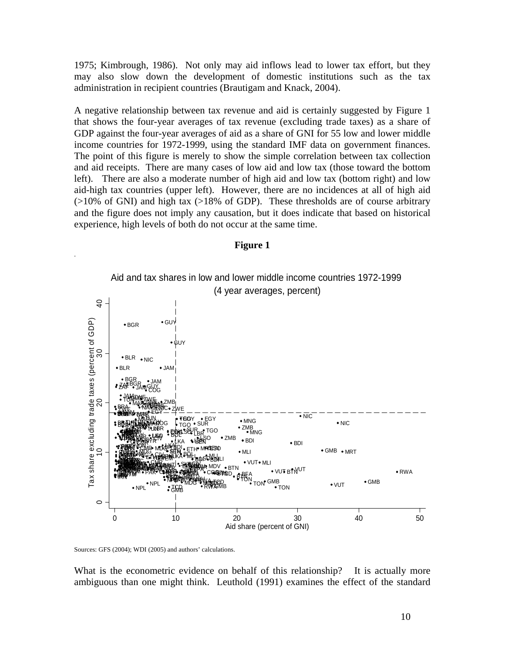1975; Kimbrough, 1986). Not only may aid inflows lead to lower tax effort, but they may also slow down the development of domestic institutions such as the tax administration in recipient countries (Brautigam and Knack, 2004).

A negative relationship between tax revenue and aid is certainly suggested by Figure 1 that shows the four-year averages of tax revenue (excluding trade taxes) as a share of GDP against the four-year averages of aid as a share of GNI for 55 low and lower middle income countries for 1972-1999, using the standard IMF data on government finances. The point of this figure is merely to show the simple correlation between tax collection and aid receipts. There are many cases of low aid and low tax (those toward the bottom left). There are also a moderate number of high aid and low tax (bottom right) and low aid-high tax countries (upper left). However, there are no incidences at all of high aid  $(>10\%$  of GNI) and high tax  $(>18\%$  of GDP). These thresholds are of course arbitrary and the figure does not imply any causation, but it does indicate that based on historical experience, high levels of both do not occur at the same time.



**Figure 1** 

Sources: GFS (2004); WDI (2005) and authors' calculations.

What is the econometric evidence on behalf of this relationship? It is actually more ambiguous than one might think. Leuthold (1991) examines the effect of the standard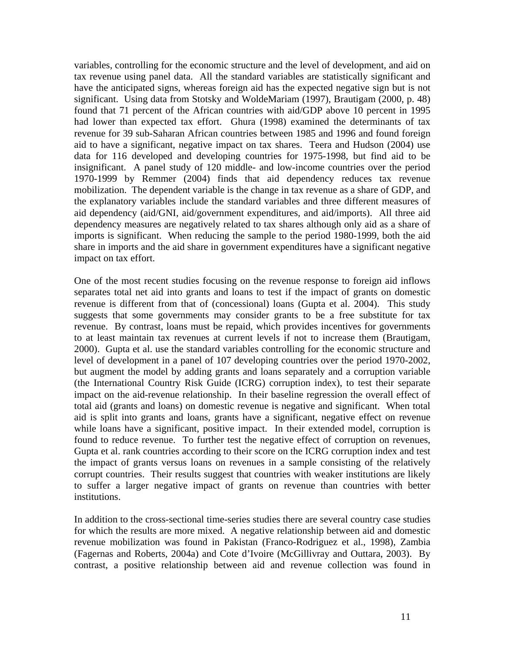variables, controlling for the economic structure and the level of development, and aid on tax revenue using panel data. All the standard variables are statistically significant and have the anticipated signs, whereas foreign aid has the expected negative sign but is not significant. Using data from Stotsky and WoldeMariam (1997), Brautigam (2000, p. 48) found that 71 percent of the African countries with aid/GDP above 10 percent in 1995 had lower than expected tax effort. Ghura (1998) examined the determinants of tax revenue for 39 sub-Saharan African countries between 1985 and 1996 and found foreign aid to have a significant, negative impact on tax shares. Teera and Hudson (2004) use data for 116 developed and developing countries for 1975-1998, but find aid to be insignificant. A panel study of 120 middle- and low-income countries over the period 1970-1999 by Remmer (2004) finds that aid dependency reduces tax revenue mobilization. The dependent variable is the change in tax revenue as a share of GDP, and the explanatory variables include the standard variables and three different measures of aid dependency (aid/GNI, aid/government expenditures, and aid/imports). All three aid dependency measures are negatively related to tax shares although only aid as a share of imports is significant. When reducing the sample to the period 1980-1999, both the aid share in imports and the aid share in government expenditures have a significant negative impact on tax effort.

One of the most recent studies focusing on the revenue response to foreign aid inflows separates total net aid into grants and loans to test if the impact of grants on domestic revenue is different from that of (concessional) loans (Gupta et al. 2004). This study suggests that some governments may consider grants to be a free substitute for tax revenue. By contrast, loans must be repaid, which provides incentives for governments to at least maintain tax revenues at current levels if not to increase them (Brautigam, 2000). Gupta et al. use the standard variables controlling for the economic structure and level of development in a panel of 107 developing countries over the period 1970-2002, but augment the model by adding grants and loans separately and a corruption variable (the International Country Risk Guide (ICRG) corruption index), to test their separate impact on the aid-revenue relationship. In their baseline regression the overall effect of total aid (grants and loans) on domestic revenue is negative and significant. When total aid is split into grants and loans, grants have a significant, negative effect on revenue while loans have a significant, positive impact. In their extended model, corruption is found to reduce revenue. To further test the negative effect of corruption on revenues, Gupta et al. rank countries according to their score on the ICRG corruption index and test the impact of grants versus loans on revenues in a sample consisting of the relatively corrupt countries. Their results suggest that countries with weaker institutions are likely to suffer a larger negative impact of grants on revenue than countries with better institutions.

In addition to the cross-sectional time-series studies there are several country case studies for which the results are more mixed. A negative relationship between aid and domestic revenue mobilization was found in Pakistan (Franco-Rodriguez et al., 1998), Zambia (Fagernas and Roberts, 2004a) and Cote d'Ivoire (McGillivray and Outtara, 2003). By contrast, a positive relationship between aid and revenue collection was found in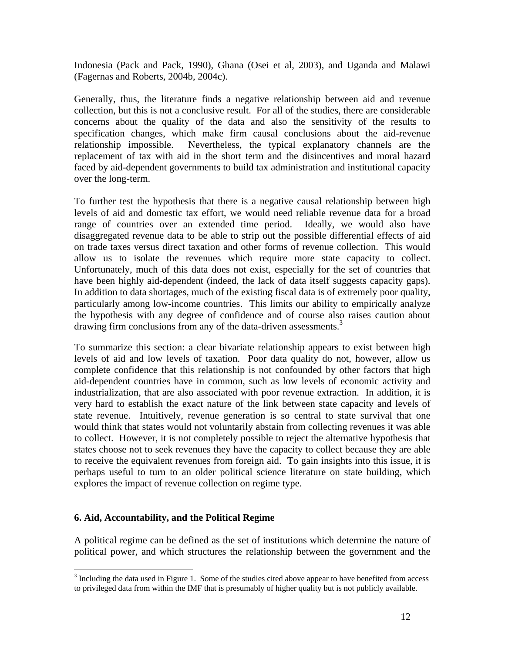Indonesia (Pack and Pack, 1990), Ghana (Osei et al, 2003), and Uganda and Malawi (Fagernas and Roberts, 2004b, 2004c).

Generally, thus, the literature finds a negative relationship between aid and revenue collection, but this is not a conclusive result. For all of the studies, there are considerable concerns about the quality of the data and also the sensitivity of the results to specification changes, which make firm causal conclusions about the aid-revenue relationship impossible. Nevertheless, the typical explanatory channels are the replacement of tax with aid in the short term and the disincentives and moral hazard faced by aid-dependent governments to build tax administration and institutional capacity over the long-term.

To further test the hypothesis that there is a negative causal relationship between high levels of aid and domestic tax effort, we would need reliable revenue data for a broad range of countries over an extended time period. Ideally, we would also have disaggregated revenue data to be able to strip out the possible differential effects of aid on trade taxes versus direct taxation and other forms of revenue collection. This would allow us to isolate the revenues which require more state capacity to collect. Unfortunately, much of this data does not exist, especially for the set of countries that have been highly aid-dependent (indeed, the lack of data itself suggests capacity gaps). In addition to data shortages, much of the existing fiscal data is of extremely poor quality, particularly among low-income countries. This limits our ability to empirically analyze the hypothesis with any degree of confidence and of course also raises caution about drawing firm conclusions from any of the data-driven assessments.<sup>3</sup>

To summarize this section: a clear bivariate relationship appears to exist between high levels of aid and low levels of taxation. Poor data quality do not, however, allow us complete confidence that this relationship is not confounded by other factors that high aid-dependent countries have in common, such as low levels of economic activity and industrialization, that are also associated with poor revenue extraction. In addition, it is very hard to establish the exact nature of the link between state capacity and levels of state revenue. Intuitively, revenue generation is so central to state survival that one would think that states would not voluntarily abstain from collecting revenues it was able to collect. However, it is not completely possible to reject the alternative hypothesis that states choose not to seek revenues they have the capacity to collect because they are able to receive the equivalent revenues from foreign aid. To gain insights into this issue, it is perhaps useful to turn to an older political science literature on state building, which explores the impact of revenue collection on regime type.

#### **6. Aid, Accountability, and the Political Regime**

A political regime can be defined as the set of institutions which determine the nature of political power, and which structures the relationship between the government and the

<sup>&</sup>lt;sup>3</sup> Including the data used in Figure 1. Some of the studies cited above appear to have benefited from access to privileged data from within the IMF that is presumably of higher quality but is not publicly available.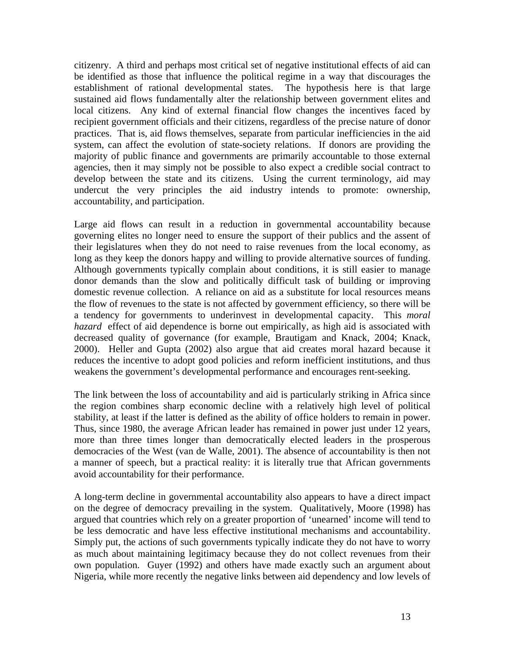citizenry. A third and perhaps most critical set of negative institutional effects of aid can be identified as those that influence the political regime in a way that discourages the establishment of rational developmental states. The hypothesis here is that large sustained aid flows fundamentally alter the relationship between government elites and local citizens. Any kind of external financial flow changes the incentives faced by recipient government officials and their citizens, regardless of the precise nature of donor practices. That is, aid flows themselves, separate from particular inefficiencies in the aid system, can affect the evolution of state-society relations. If donors are providing the majority of public finance and governments are primarily accountable to those external agencies, then it may simply not be possible to also expect a credible social contract to develop between the state and its citizens. Using the current terminology, aid may undercut the very principles the aid industry intends to promote: ownership, accountability, and participation.

Large aid flows can result in a reduction in governmental accountability because governing elites no longer need to ensure the support of their publics and the assent of their legislatures when they do not need to raise revenues from the local economy, as long as they keep the donors happy and willing to provide alternative sources of funding. Although governments typically complain about conditions, it is still easier to manage donor demands than the slow and politically difficult task of building or improving domestic revenue collection. A reliance on aid as a substitute for local resources means the flow of revenues to the state is not affected by government efficiency, so there will be a tendency for governments to underinvest in developmental capacity. This *moral hazard* effect of aid dependence is borne out empirically, as high aid is associated with decreased quality of governance (for example, Brautigam and Knack, 2004; Knack, 2000). Heller and Gupta (2002) also argue that aid creates moral hazard because it reduces the incentive to adopt good policies and reform inefficient institutions, and thus weakens the government's developmental performance and encourages rent-seeking.

The link between the loss of accountability and aid is particularly striking in Africa since the region combines sharp economic decline with a relatively high level of political stability, at least if the latter is defined as the ability of office holders to remain in power. Thus, since 1980, the average African leader has remained in power just under 12 years, more than three times longer than democratically elected leaders in the prosperous democracies of the West (van de Walle, 2001). The absence of accountability is then not a manner of speech, but a practical reality: it is literally true that African governments avoid accountability for their performance.

A long-term decline in governmental accountability also appears to have a direct impact on the degree of democracy prevailing in the system. Qualitatively, Moore (1998) has argued that countries which rely on a greater proportion of 'unearned' income will tend to be less democratic and have less effective institutional mechanisms and accountability. Simply put, the actions of such governments typically indicate they do not have to worry as much about maintaining legitimacy because they do not collect revenues from their own population. Guyer (1992) and others have made exactly such an argument about Nigeria, while more recently the negative links between aid dependency and low levels of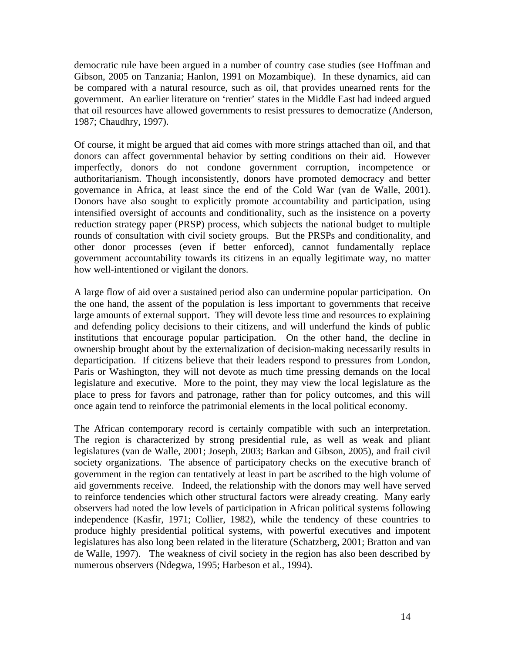democratic rule have been argued in a number of country case studies (see Hoffman and Gibson, 2005 on Tanzania; Hanlon, 1991 on Mozambique). In these dynamics, aid can be compared with a natural resource, such as oil, that provides unearned rents for the government. An earlier literature on 'rentier' states in the Middle East had indeed argued that oil resources have allowed governments to resist pressures to democratize (Anderson, 1987; Chaudhry, 1997).

Of course, it might be argued that aid comes with more strings attached than oil, and that donors can affect governmental behavior by setting conditions on their aid. However imperfectly, donors do not condone government corruption, incompetence or authoritarianism. Though inconsistently, donors have promoted democracy and better governance in Africa, at least since the end of the Cold War (van de Walle, 2001). Donors have also sought to explicitly promote accountability and participation, using intensified oversight of accounts and conditionality, such as the insistence on a poverty reduction strategy paper (PRSP) process, which subjects the national budget to multiple rounds of consultation with civil society groups. But the PRSPs and conditionality, and other donor processes (even if better enforced), cannot fundamentally replace government accountability towards its citizens in an equally legitimate way, no matter how well-intentioned or vigilant the donors.

A large flow of aid over a sustained period also can undermine popular participation. On the one hand, the assent of the population is less important to governments that receive large amounts of external support. They will devote less time and resources to explaining and defending policy decisions to their citizens, and will underfund the kinds of public institutions that encourage popular participation. On the other hand, the decline in ownership brought about by the externalization of decision-making necessarily results in departicipation. If citizens believe that their leaders respond to pressures from London, Paris or Washington, they will not devote as much time pressing demands on the local legislature and executive. More to the point, they may view the local legislature as the place to press for favors and patronage, rather than for policy outcomes, and this will once again tend to reinforce the patrimonial elements in the local political economy.

The African contemporary record is certainly compatible with such an interpretation. The region is characterized by strong presidential rule, as well as weak and pliant legislatures (van de Walle, 2001; Joseph, 2003; Barkan and Gibson, 2005), and frail civil society organizations. The absence of participatory checks on the executive branch of government in the region can tentatively at least in part be ascribed to the high volume of aid governments receive. Indeed, the relationship with the donors may well have served to reinforce tendencies which other structural factors were already creating. Many early observers had noted the low levels of participation in African political systems following independence (Kasfir, 1971; Collier, 1982), while the tendency of these countries to produce highly presidential political systems, with powerful executives and impotent legislatures has also long been related in the literature (Schatzberg, 2001; Bratton and van de Walle, 1997). The weakness of civil society in the region has also been described by numerous observers (Ndegwa, 1995; Harbeson et al., 1994).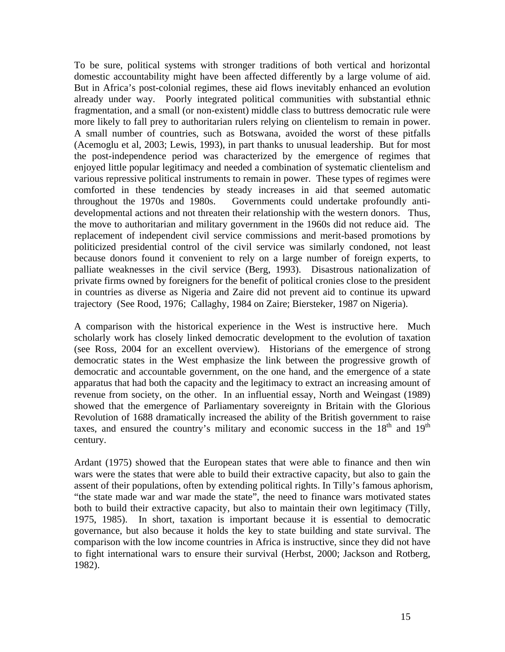To be sure, political systems with stronger traditions of both vertical and horizontal domestic accountability might have been affected differently by a large volume of aid. But in Africa's post-colonial regimes, these aid flows inevitably enhanced an evolution already under way. Poorly integrated political communities with substantial ethnic fragmentation, and a small (or non-existent) middle class to buttress democratic rule were more likely to fall prey to authoritarian rulers relying on clientelism to remain in power. A small number of countries, such as Botswana, avoided the worst of these pitfalls (Acemoglu et al, 2003; Lewis, 1993), in part thanks to unusual leadership. But for most the post-independence period was characterized by the emergence of regimes that enjoyed little popular legitimacy and needed a combination of systematic clientelism and various repressive political instruments to remain in power. These types of regimes were comforted in these tendencies by steady increases in aid that seemed automatic throughout the 1970s and 1980s. Governments could undertake profoundly antidevelopmental actions and not threaten their relationship with the western donors. Thus, the move to authoritarian and military government in the 1960s did not reduce aid. The replacement of independent civil service commissions and merit-based promotions by politicized presidential control of the civil service was similarly condoned, not least because donors found it convenient to rely on a large number of foreign experts, to palliate weaknesses in the civil service (Berg, 1993). Disastrous nationalization of private firms owned by foreigners for the benefit of political cronies close to the president in countries as diverse as Nigeria and Zaire did not prevent aid to continue its upward trajectory (See Rood, 1976; Callaghy, 1984 on Zaire; Biersteker, 1987 on Nigeria).

A comparison with the historical experience in the West is instructive here. Much scholarly work has closely linked democratic development to the evolution of taxation (see Ross, 2004 for an excellent overview). Historians of the emergence of strong democratic states in the West emphasize the link between the progressive growth of democratic and accountable government, on the one hand, and the emergence of a state apparatus that had both the capacity and the legitimacy to extract an increasing amount of revenue from society, on the other. In an influential essay, North and Weingast (1989) showed that the emergence of Parliamentary sovereignty in Britain with the Glorious Revolution of 1688 dramatically increased the ability of the British government to raise taxes, and ensured the country's military and economic success in the  $18<sup>th</sup>$  and  $19<sup>th</sup>$ century.

Ardant (1975) showed that the European states that were able to finance and then win wars were the states that were able to build their extractive capacity, but also to gain the assent of their populations, often by extending political rights. In Tilly's famous aphorism, "the state made war and war made the state", the need to finance wars motivated states both to build their extractive capacity, but also to maintain their own legitimacy (Tilly, 1975, 1985). In short, taxation is important because it is essential to democratic governance, but also because it holds the key to state building and state survival. The comparison with the low income countries in Africa is instructive, since they did not have to fight international wars to ensure their survival (Herbst, 2000; Jackson and Rotberg, 1982).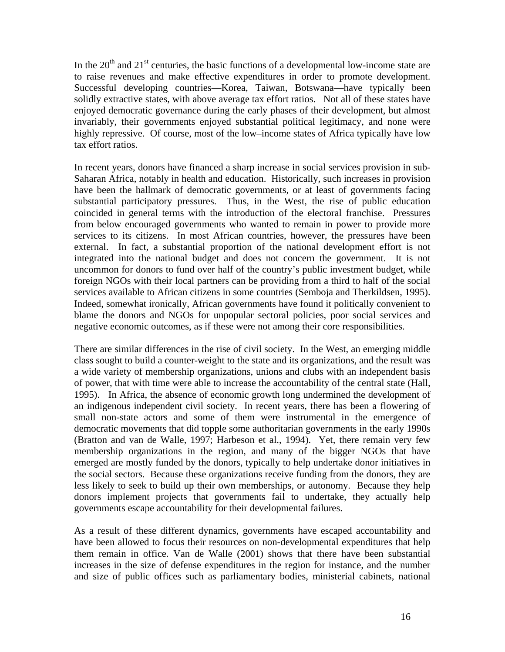In the  $20<sup>th</sup>$  and  $21<sup>st</sup>$  centuries, the basic functions of a developmental low-income state are to raise revenues and make effective expenditures in order to promote development. Successful developing countries—Korea, Taiwan, Botswana—have typically been solidly extractive states, with above average tax effort ratios. Not all of these states have enjoyed democratic governance during the early phases of their development, but almost invariably, their governments enjoyed substantial political legitimacy, and none were highly repressive. Of course, most of the low–income states of Africa typically have low tax effort ratios.

In recent years, donors have financed a sharp increase in social services provision in sub-Saharan Africa, notably in health and education. Historically, such increases in provision have been the hallmark of democratic governments, or at least of governments facing substantial participatory pressures. Thus, in the West, the rise of public education coincided in general terms with the introduction of the electoral franchise. Pressures from below encouraged governments who wanted to remain in power to provide more services to its citizens. In most African countries, however, the pressures have been external. In fact, a substantial proportion of the national development effort is not integrated into the national budget and does not concern the government. It is not uncommon for donors to fund over half of the country's public investment budget, while foreign NGOs with their local partners can be providing from a third to half of the social services available to African citizens in some countries (Semboja and Therkildsen, 1995). Indeed, somewhat ironically, African governments have found it politically convenient to blame the donors and NGOs for unpopular sectoral policies, poor social services and negative economic outcomes, as if these were not among their core responsibilities.

There are similar differences in the rise of civil society. In the West, an emerging middle class sought to build a counter-weight to the state and its organizations, and the result was a wide variety of membership organizations, unions and clubs with an independent basis of power, that with time were able to increase the accountability of the central state (Hall, 1995). In Africa, the absence of economic growth long undermined the development of an indigenous independent civil society. In recent years, there has been a flowering of small non-state actors and some of them were instrumental in the emergence of democratic movements that did topple some authoritarian governments in the early 1990s (Bratton and van de Walle, 1997; Harbeson et al., 1994). Yet, there remain very few membership organizations in the region, and many of the bigger NGOs that have emerged are mostly funded by the donors, typically to help undertake donor initiatives in the social sectors. Because these organizations receive funding from the donors, they are less likely to seek to build up their own memberships, or autonomy. Because they help donors implement projects that governments fail to undertake, they actually help governments escape accountability for their developmental failures.

As a result of these different dynamics, governments have escaped accountability and have been allowed to focus their resources on non-developmental expenditures that help them remain in office. Van de Walle (2001) shows that there have been substantial increases in the size of defense expenditures in the region for instance, and the number and size of public offices such as parliamentary bodies, ministerial cabinets, national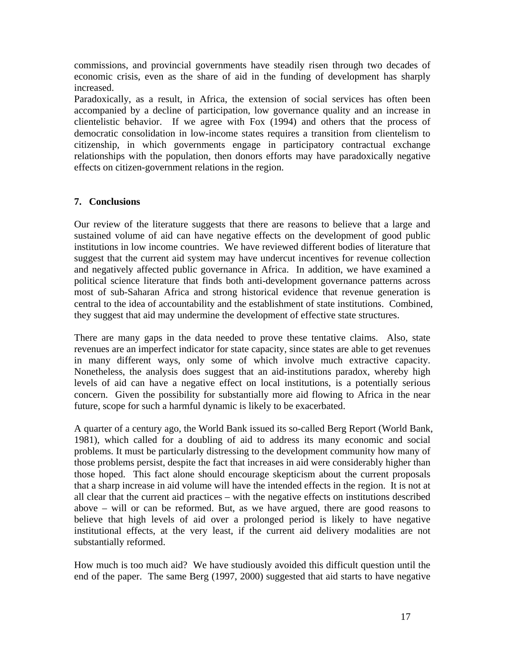commissions, and provincial governments have steadily risen through two decades of economic crisis, even as the share of aid in the funding of development has sharply increased.

Paradoxically, as a result, in Africa, the extension of social services has often been accompanied by a decline of participation, low governance quality and an increase in clientelistic behavior. If we agree with Fox (1994) and others that the process of democratic consolidation in low-income states requires a transition from clientelism to citizenship, in which governments engage in participatory contractual exchange relationships with the population, then donors efforts may have paradoxically negative effects on citizen-government relations in the region.

## **7. Conclusions**

Our review of the literature suggests that there are reasons to believe that a large and sustained volume of aid can have negative effects on the development of good public institutions in low income countries. We have reviewed different bodies of literature that suggest that the current aid system may have undercut incentives for revenue collection and negatively affected public governance in Africa. In addition, we have examined a political science literature that finds both anti-development governance patterns across most of sub-Saharan Africa and strong historical evidence that revenue generation is central to the idea of accountability and the establishment of state institutions. Combined, they suggest that aid may undermine the development of effective state structures.

There are many gaps in the data needed to prove these tentative claims. Also, state revenues are an imperfect indicator for state capacity, since states are able to get revenues in many different ways, only some of which involve much extractive capacity. Nonetheless, the analysis does suggest that an aid-institutions paradox, whereby high levels of aid can have a negative effect on local institutions, is a potentially serious concern. Given the possibility for substantially more aid flowing to Africa in the near future, scope for such a harmful dynamic is likely to be exacerbated.

A quarter of a century ago, the World Bank issued its so-called Berg Report (World Bank, 1981), which called for a doubling of aid to address its many economic and social problems. It must be particularly distressing to the development community how many of those problems persist, despite the fact that increases in aid were considerably higher than those hoped. This fact alone should encourage skepticism about the current proposals that a sharp increase in aid volume will have the intended effects in the region. It is not at all clear that the current aid practices – with the negative effects on institutions described above – will or can be reformed. But, as we have argued, there are good reasons to believe that high levels of aid over a prolonged period is likely to have negative institutional effects, at the very least, if the current aid delivery modalities are not substantially reformed.

How much is too much aid? We have studiously avoided this difficult question until the end of the paper. The same Berg (1997, 2000) suggested that aid starts to have negative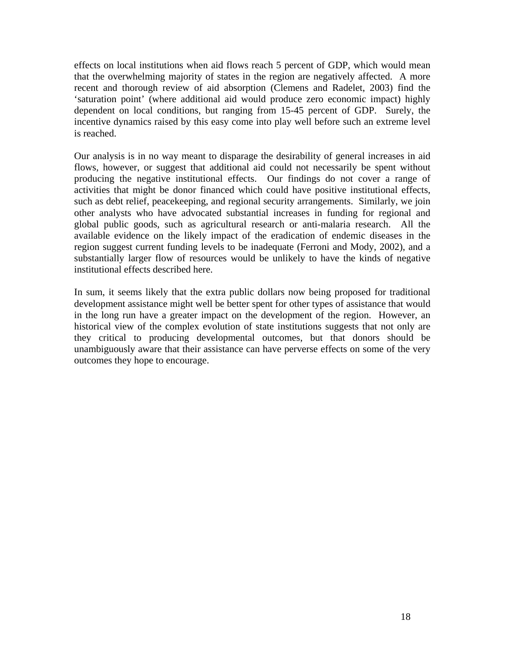effects on local institutions when aid flows reach 5 percent of GDP, which would mean that the overwhelming majority of states in the region are negatively affected. A more recent and thorough review of aid absorption (Clemens and Radelet, 2003) find the 'saturation point' (where additional aid would produce zero economic impact) highly dependent on local conditions, but ranging from 15-45 percent of GDP. Surely, the incentive dynamics raised by this easy come into play well before such an extreme level is reached.

Our analysis is in no way meant to disparage the desirability of general increases in aid flows, however, or suggest that additional aid could not necessarily be spent without producing the negative institutional effects. Our findings do not cover a range of activities that might be donor financed which could have positive institutional effects, such as debt relief, peacekeeping, and regional security arrangements. Similarly, we join other analysts who have advocated substantial increases in funding for regional and global public goods, such as agricultural research or anti-malaria research. All the available evidence on the likely impact of the eradication of endemic diseases in the region suggest current funding levels to be inadequate (Ferroni and Mody, 2002), and a substantially larger flow of resources would be unlikely to have the kinds of negative institutional effects described here.

In sum, it seems likely that the extra public dollars now being proposed for traditional development assistance might well be better spent for other types of assistance that would in the long run have a greater impact on the development of the region. However, an historical view of the complex evolution of state institutions suggests that not only are they critical to producing developmental outcomes, but that donors should be unambiguously aware that their assistance can have perverse effects on some of the very outcomes they hope to encourage.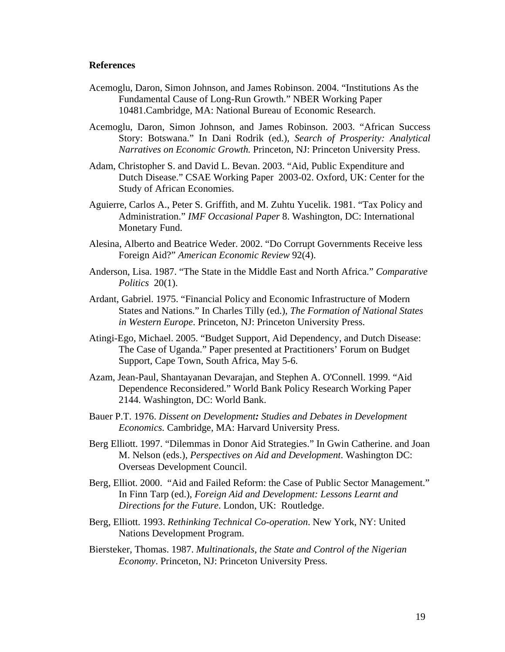#### **References**

- Acemoglu, Daron, Simon Johnson, and James Robinson. 2004. "Institutions As the Fundamental Cause of Long-Run Growth." NBER Working Paper 10481.Cambridge, MA: National Bureau of Economic Research.
- Acemoglu, Daron, Simon Johnson, and James Robinson. 2003. "African Success Story: Botswana." In Dani Rodrik (ed.), *Search of Prosperity: Analytical Narratives on Economic Growth.* Princeton, NJ: Princeton University Press.
- Adam, Christopher S. and David L. Bevan. 2003. "Aid, Public Expenditure and Dutch Disease." CSAE Working Paper 2003-02. Oxford, UK: Center for the Study of African Economies.
- Aguierre, Carlos A., Peter S. Griffith, and M. Zuhtu Yucelik. 1981. "Tax Policy and Administration." *IMF Occasional Paper* 8. Washington, DC: International Monetary Fund.
- Alesina, Alberto and Beatrice Weder. 2002. "Do Corrupt Governments Receive less Foreign Aid?" *American Economic Review* 92(4).
- Anderson, Lisa. 1987. "The State in the Middle East and North Africa." *Comparative Politics* 20(1).
- Ardant, Gabriel. 1975. "Financial Policy and Economic Infrastructure of Modern States and Nations." In Charles Tilly (ed.), *The Formation of National States in Western Europe*. Princeton, NJ: Princeton University Press.
- Atingi-Ego, Michael. 2005. "Budget Support, Aid Dependency, and Dutch Disease: The Case of Uganda." Paper presented at Practitioners' Forum on Budget Support, Cape Town, South Africa, May 5-6.
- Azam, Jean-Paul, Shantayanan Devarajan, and Stephen A. O'Connell. 1999. "Aid Dependence Reconsidered." World Bank Policy Research Working Paper 2144. Washington, DC: World Bank.
- Bauer P.T. 1976. *Dissent on Development: Studies and Debates in Development Economics.* Cambridge, MA: Harvard University Press.
- Berg Elliott. 1997. "Dilemmas in Donor Aid Strategies." In Gwin Catherine. and Joan M. Nelson (eds.), *Perspectives on Aid and Development*. Washington DC: Overseas Development Council.
- Berg, Elliot. 2000. "Aid and Failed Reform: the Case of Public Sector Management." In Finn Tarp (ed.), *Foreign Aid and Development: Lessons Learnt and Directions for the Future*. London, UK: Routledge.
- Berg, Elliott. 1993. *Rethinking Technical Co-operation*. New York, NY: United Nations Development Program.
- Biersteker, Thomas. 1987. *Multinationals, the State and Control of the Nigerian Economy*. Princeton, NJ: Princeton University Press.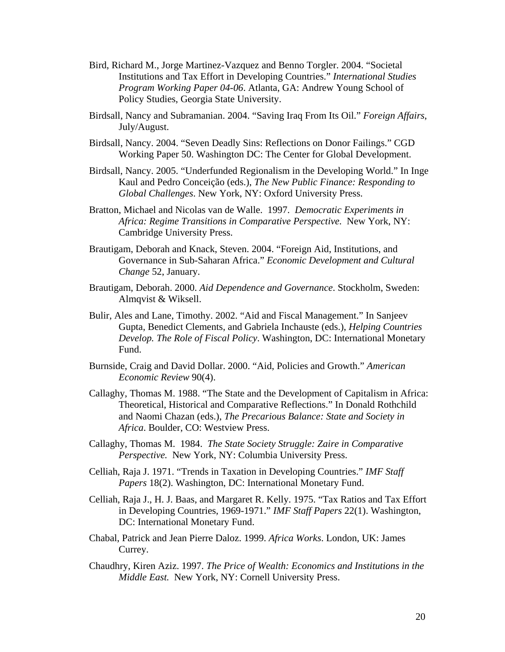- Bird, Richard M., Jorge Martinez-Vazquez and Benno Torgler. 2004. "Societal Institutions and Tax Effort in Developing Countries." *International Studies Program Working Paper 04-06*. Atlanta, GA: Andrew Young School of Policy Studies, Georgia State University.
- Birdsall, Nancy and Subramanian. 2004. "Saving Iraq From Its Oil." *Foreign Affairs*, July/August.
- Birdsall, Nancy. 2004. "Seven Deadly Sins: Reflections on Donor Failings." CGD Working Paper 50. Washington DC: The Center for Global Development.
- Birdsall, Nancy. 2005. "Underfunded Regionalism in the Developing World." In Inge Kaul and Pedro Conceição (eds.), *The New Public Finance: Responding to Global Challenges*. New York, NY: Oxford University Press.
- Bratton, Michael and Nicolas van de Walle. 1997. *Democratic Experiments in Africa: Regime Transitions in Comparative Perspective.* New York, NY: Cambridge University Press.
- Brautigam, Deborah and Knack, Steven. 2004. "Foreign Aid, Institutions, and Governance in Sub-Saharan Africa." *Economic Development and Cultural Change* 52, January.
- Brautigam, Deborah. 2000. *Aid Dependence and Governance*. Stockholm, Sweden: Almqvist & Wiksell.
- Bulir, Ales and Lane, Timothy. 2002. "Aid and Fiscal Management." In Sanjeev Gupta, Benedict Clements, and Gabriela Inchauste (eds.), *Helping Countries Develop. The Role of Fiscal Policy*. Washington, DC: International Monetary Fund.
- Burnside, Craig and David Dollar. 2000. "Aid, Policies and Growth." *American Economic Review* 90(4).
- Callaghy, Thomas M. 1988. "The State and the Development of Capitalism in Africa: Theoretical, Historical and Comparative Reflections." In Donald Rothchild and Naomi Chazan (eds.), *The Precarious Balance: State and Society in Africa*. Boulder, CO: Westview Press.
- Callaghy, Thomas M. 1984. *The State Society Struggle: Zaire in Comparative Perspective.* New York, NY: Columbia University Press.
- Celliah, Raja J. 1971. "Trends in Taxation in Developing Countries." *IMF Staff Papers* 18(2). Washington, DC: International Monetary Fund.
- Celliah, Raja J., H. J. Baas, and Margaret R. Kelly. 1975. "Tax Ratios and Tax Effort in Developing Countries, 1969-1971." *IMF Staff Papers* 22(1). Washington, DC: International Monetary Fund.
- Chabal, Patrick and Jean Pierre Daloz. 1999. *Africa Works*. London, UK: James Currey.
- Chaudhry, Kiren Aziz. 1997. *The Price of Wealth: Economics and Institutions in the Middle East.* New York, NY: Cornell University Press.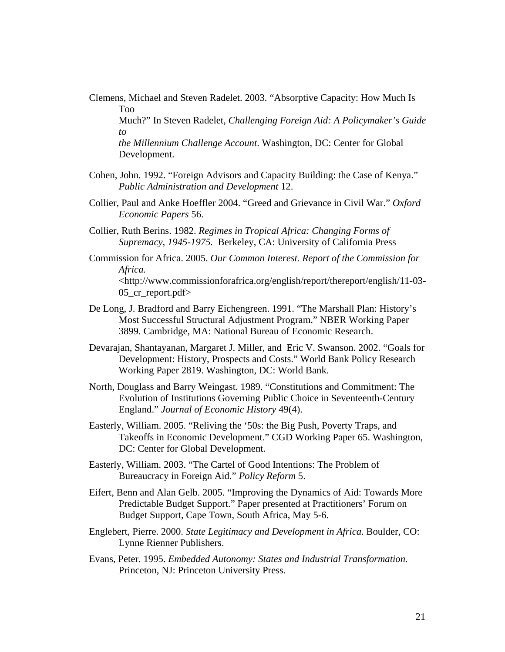- Clemens, Michael and Steven Radelet. 2003. "Absorptive Capacity: How Much Is Too Much?" In Steven Radelet, *Challenging Foreign Aid: A Policymaker's Guide to the Millennium Challenge Account*. Washington, DC: Center for Global Development.
- Cohen, John. 1992. "Foreign Advisors and Capacity Building: the Case of Kenya." *Public Administration and Development* 12.
- Collier, Paul and Anke Hoeffler 2004. "Greed and Grievance in Civil War." *Oxford Economic Papers* 56.
- Collier, Ruth Berins. 1982. *Regimes in Tropical Africa: Changing Forms of Supremacy, 1945-1975.* Berkeley, CA: University of California Press
- Commission for Africa. 2005. *Our Common Interest. Report of the Commission for Africa.*  <http://www.commissionforafrica.org/english/report/thereport/english/11-03- 05 cr report.pdf>
- De Long, J. Bradford and Barry Eichengreen. 1991. "The Marshall Plan: History's Most Successful Structural Adjustment Program." NBER Working Paper 3899. Cambridge, MA: National Bureau of Economic Research.
- Devarajan, Shantayanan, Margaret J. Miller, and Eric V. Swanson. 2002. "Goals for Development: History, Prospects and Costs." World Bank Policy Research Working Paper 2819. Washington, DC: World Bank.
- North, Douglass and Barry Weingast. 1989. "Constitutions and Commitment: The Evolution of Institutions Governing Public Choice in Seventeenth-Century England." *Journal of Economic History* 49(4).
- Easterly, William. 2005. "Reliving the '50s: the Big Push, Poverty Traps, and Takeoffs in Economic Development." CGD Working Paper 65. Washington, DC: Center for Global Development.
- Easterly, William. 2003. "The Cartel of Good Intentions: The Problem of Bureaucracy in Foreign Aid." *Policy Reform* 5.
- Eifert, Benn and Alan Gelb. 2005. "Improving the Dynamics of Aid: Towards More Predictable Budget Support." Paper presented at Practitioners' Forum on Budget Support, Cape Town, South Africa, May 5-6.
- Englebert, Pierre. 2000. *State Legitimacy and Development in Africa*. Boulder, CO: Lynne Rienner Publishers.
- Evans, Peter. 1995. *Embedded Autonomy: States and Industrial Transformation.*  Princeton, NJ: Princeton University Press.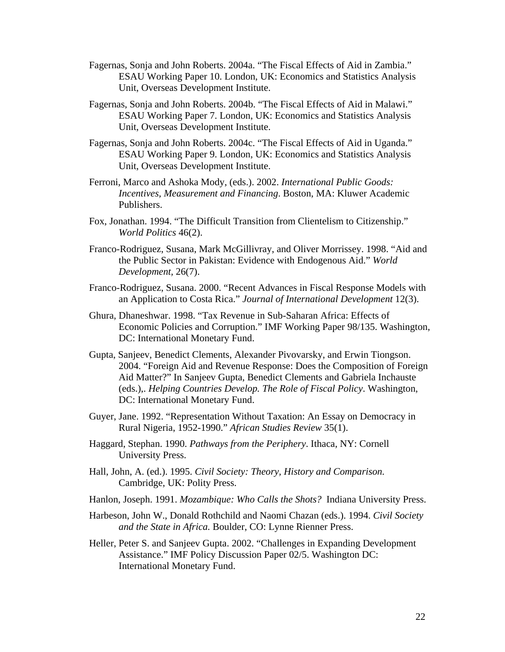- Fagernas, Sonja and John Roberts. 2004a. "The Fiscal Effects of Aid in Zambia." ESAU Working Paper 10. London, UK: Economics and Statistics Analysis Unit, Overseas Development Institute.
- Fagernas, Sonja and John Roberts. 2004b. "The Fiscal Effects of Aid in Malawi." ESAU Working Paper 7. London, UK: Economics and Statistics Analysis Unit, Overseas Development Institute.
- Fagernas, Sonja and John Roberts. 2004c. "The Fiscal Effects of Aid in Uganda." ESAU Working Paper 9. London, UK: Economics and Statistics Analysis Unit, Overseas Development Institute.
- Ferroni, Marco and Ashoka Mody, (eds.). 2002. *International Public Goods: Incentives, Measurement and Financing*. Boston, MA: Kluwer Academic Publishers.
- Fox, Jonathan. 1994. "The Difficult Transition from Clientelism to Citizenship." *World Politics* 46(2).
- Franco-Rodriguez, Susana, Mark McGillivray, and Oliver Morrissey. 1998. "Aid and the Public Sector in Pakistan: Evidence with Endogenous Aid." *World Development,* 26(7).
- Franco-Rodriguez, Susana. 2000. "Recent Advances in Fiscal Response Models with an Application to Costa Rica." *Journal of International Development* 12(3).
- Ghura, Dhaneshwar. 1998. "Tax Revenue in Sub-Saharan Africa: Effects of Economic Policies and Corruption." IMF Working Paper 98/135. Washington, DC: International Monetary Fund.
- Gupta, Sanjeev, Benedict Clements, Alexander Pivovarsky, and Erwin Tiongson. 2004. "Foreign Aid and Revenue Response: Does the Composition of Foreign Aid Matter?" In Sanjeev Gupta, Benedict Clements and Gabriela Inchauste (eds.),. *Helping Countries Develop. The Role of Fiscal Policy*. Washington, DC: International Monetary Fund.
- Guyer, Jane. 1992. "Representation Without Taxation: An Essay on Democracy in Rural Nigeria, 1952-1990." *African Studies Review* 35(1).
- Haggard, Stephan. 1990. *Pathways from the Periphery*. Ithaca, NY: Cornell University Press.
- Hall, John, A. (ed.). 1995. *Civil Society: Theory, History and Comparison.* Cambridge, UK: Polity Press.
- Hanlon, Joseph. 1991. *Mozambique: Who Calls the Shots?* Indiana University Press.
- Harbeson, John W., Donald Rothchild and Naomi Chazan (eds.). 1994. *Civil Society and the State in Africa.* Boulder, CO: Lynne Rienner Press.
- Heller, Peter S. and Sanjeev Gupta. 2002. "Challenges in Expanding Development Assistance." IMF Policy Discussion Paper 02/5. Washington DC: International Monetary Fund.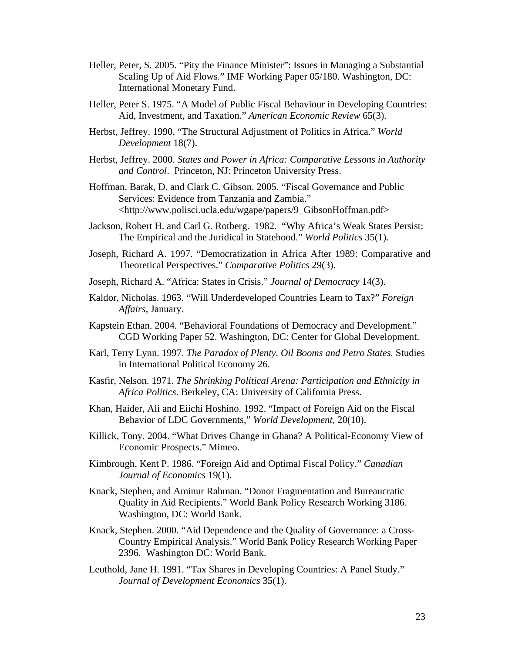- Heller, Peter, S. 2005. "Pity the Finance Minister": Issues in Managing a Substantial Scaling Up of Aid Flows." IMF Working Paper 05/180. Washington, DC: International Monetary Fund.
- Heller, Peter S. 1975. "A Model of Public Fiscal Behaviour in Developing Countries: Aid, Investment, and Taxation." *American Economic Review* 65(3).
- Herbst, Jeffrey. 1990. "The Structural Adjustment of Politics in Africa." *World Development* 18(7).
- Herbst, Jeffrey. 2000. *States and Power in Africa: Comparative Lessons in Authority and Control*. Princeton, NJ: Princeton University Press.
- Hoffman, Barak, D. and Clark C. Gibson. 2005. "Fiscal Governance and Public Services: Evidence from Tanzania and Zambia." <http://www.polisci.ucla.edu/wgape/papers/9\_GibsonHoffman.pdf>
- Jackson, Robert H. and Carl G. Rotberg. 1982. "Why Africa's Weak States Persist: The Empirical and the Juridical in Statehood." *World Politics* 35(1).
- Joseph, Richard A. 1997. "Democratization in Africa After 1989: Comparative and Theoretical Perspectives." *Comparative Politics* 29(3).
- Joseph, Richard A. "Africa: States in Crisis." *Journal of Democracy* 14(3).
- Kaldor, Nicholas. 1963. "Will Underdeveloped Countries Learn to Tax?" *Foreign Affairs*, January.
- Kapstein Ethan. 2004. "Behavioral Foundations of Democracy and Development." CGD Working Paper 52. Washington, DC: Center for Global Development.
- Karl, Terry Lynn. 1997. *The Paradox of Plenty. Oil Booms and Petro States.* Studies in International Political Economy 26.
- Kasfir, Nelson. 1971. *The Shrinking Political Arena: Participation and Ethnicity in Africa Politics*. Berkeley, CA: University of California Press.
- Khan, Haider, Ali and Eiichi Hoshino. 1992. "Impact of Foreign Aid on the Fiscal Behavior of LDC Governments," *World Development,* 20(10).
- Killick, Tony. 2004. "What Drives Change in Ghana? A Political-Economy View of Economic Prospects." Mimeo.
- Kimbrough, Kent P. 1986. "Foreign Aid and Optimal Fiscal Policy." *Canadian Journal of Economics* 19(1).
- Knack, Stephen, and Aminur Rahman. "Donor Fragmentation and Bureaucratic Quality in Aid Recipients." World Bank Policy Research Working 3186. Washington, DC: World Bank.
- Knack, Stephen. 2000. "Aid Dependence and the Quality of Governance: a Cross-Country Empirical Analysis." World Bank Policy Research Working Paper 2396. Washington DC: World Bank.
- Leuthold, Jane H. 1991. "Tax Shares in Developing Countries: A Panel Study." *Journal of Development Economics* 35(1).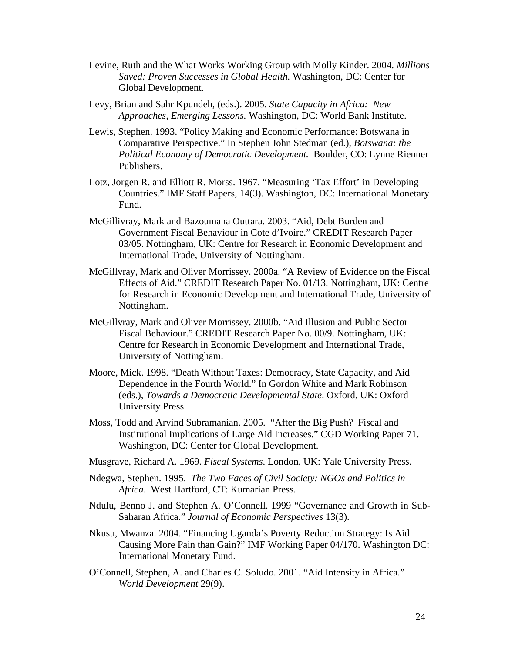- Levine, Ruth and the What Works Working Group with Molly Kinder. 2004. *Millions Saved: Proven Successes in Global Health.* Washington, DC: Center for Global Development.
- Levy, Brian and Sahr Kpundeh, (eds.). 2005. *State Capacity in Africa: New Approaches, Emerging Lessons.* Washington, DC: World Bank Institute.
- Lewis, Stephen. 1993. "Policy Making and Economic Performance: Botswana in Comparative Perspective." In Stephen John Stedman (ed.), *Botswana: the Political Economy of Democratic Development.* Boulder, CO: Lynne Rienner Publishers.
- Lotz, Jorgen R. and Elliott R. Morss. 1967. "Measuring 'Tax Effort' in Developing Countries." IMF Staff Papers, 14(3). Washington, DC: International Monetary Fund.
- McGillivray, Mark and Bazoumana Outtara. 2003. "Aid, Debt Burden and Government Fiscal Behaviour in Cote d'Ivoire." CREDIT Research Paper 03/05. Nottingham, UK: Centre for Research in Economic Development and International Trade, University of Nottingham.
- McGillvray, Mark and Oliver Morrissey. 2000a. "A Review of Evidence on the Fiscal Effects of Aid." CREDIT Research Paper No. 01/13. Nottingham, UK: Centre for Research in Economic Development and International Trade, University of Nottingham.
- McGillvray, Mark and Oliver Morrissey. 2000b. "Aid Illusion and Public Sector Fiscal Behaviour." CREDIT Research Paper No. 00/9. Nottingham, UK: Centre for Research in Economic Development and International Trade, University of Nottingham.
- Moore, Mick. 1998. "Death Without Taxes: Democracy, State Capacity, and Aid Dependence in the Fourth World." In Gordon White and Mark Robinson (eds.), *Towards a Democratic Developmental State*. Oxford, UK: Oxford University Press.
- Moss, Todd and Arvind Subramanian. 2005. "After the Big Push? Fiscal and Institutional Implications of Large Aid Increases." CGD Working Paper 71. Washington, DC: Center for Global Development.
- Musgrave, Richard A. 1969. *Fiscal Systems*. London, UK: Yale University Press.
- Ndegwa, Stephen. 1995. *The Two Faces of Civil Society: NGOs and Politics in Africa*. West Hartford, CT: Kumarian Press.
- Ndulu, Benno J. and Stephen A. O'Connell. 1999 "Governance and Growth in Sub-Saharan Africa." *Journal of Economic Perspectives* 13(3).
- Nkusu, Mwanza. 2004. "Financing Uganda's Poverty Reduction Strategy: Is Aid Causing More Pain than Gain?" IMF Working Paper 04/170. Washington DC: International Monetary Fund.
- O'Connell, Stephen, A. and Charles C. Soludo. 2001. "Aid Intensity in Africa." *World Development* 29(9).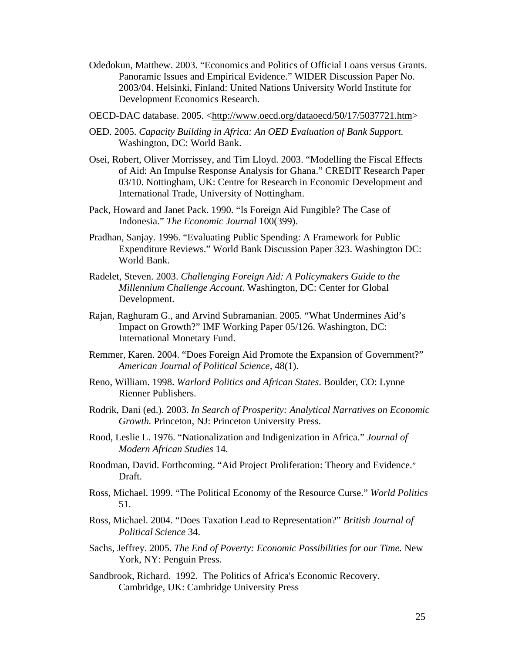- Odedokun, Matthew. 2003. "Economics and Politics of Official Loans versus Grants. Panoramic Issues and Empirical Evidence." WIDER Discussion Paper No. 2003/04. Helsinki, Finland: United Nations University World Institute for Development Economics Research.
- OECD-DAC database. 2005. <http://www.oecd.org/dataoecd/50/17/5037721.htm>
- OED. 2005. *Capacity Building in Africa: An OED Evaluation of Bank Support.* Washington, DC: World Bank.
- Osei, Robert, Oliver Morrissey, and Tim Lloyd. 2003. "Modelling the Fiscal Effects of Aid: An Impulse Response Analysis for Ghana." CREDIT Research Paper 03/10. Nottingham, UK: Centre for Research in Economic Development and International Trade, University of Nottingham.
- Pack, Howard and Janet Pack. 1990. "Is Foreign Aid Fungible? The Case of Indonesia." *The Economic Journal* 100(399).
- Pradhan, Sanjay. 1996. "Evaluating Public Spending: A Framework for Public Expenditure Reviews." World Bank Discussion Paper 323. Washington DC: World Bank.
- Radelet, Steven. 2003. *Challenging Foreign Aid: A Policymakers Guide to the Millennium Challenge Account*. Washington, DC: Center for Global Development.
- Rajan, Raghuram G., and Arvind Subramanian. 2005. "What Undermines Aid's Impact on Growth?" IMF Working Paper 05/126. Washington, DC: International Monetary Fund.
- Remmer, Karen. 2004. "Does Foreign Aid Promote the Expansion of Government?" *American Journal of Political Science,* 48(1).
- Reno, William. 1998. *Warlord Politics and African States*. Boulder, CO: Lynne Rienner Publishers.
- Rodrik, Dani (ed.). 2003. *In Search of Prosperity: Analytical Narratives on Economic Growth.* Princeton, NJ: Princeton University Press.
- Rood, Leslie L. 1976. "Nationalization and Indigenization in Africa." *Journal of Modern African Studies* 14.
- Roodman, David. Forthcoming. "Aid Project Proliferation: Theory and Evidence." Draft.
- Ross, Michael. 1999. "The Political Economy of the Resource Curse." *World Politics*  51.
- Ross, Michael. 2004. "Does Taxation Lead to Representation?" *British Journal of Political Science* 34.
- Sachs, Jeffrey. 2005. *The End of Poverty: Economic Possibilities for our Time.* New York, NY: Penguin Press.
- Sandbrook, Richard. 1992. The Politics of Africa's Economic Recovery. Cambridge, UK: Cambridge University Press